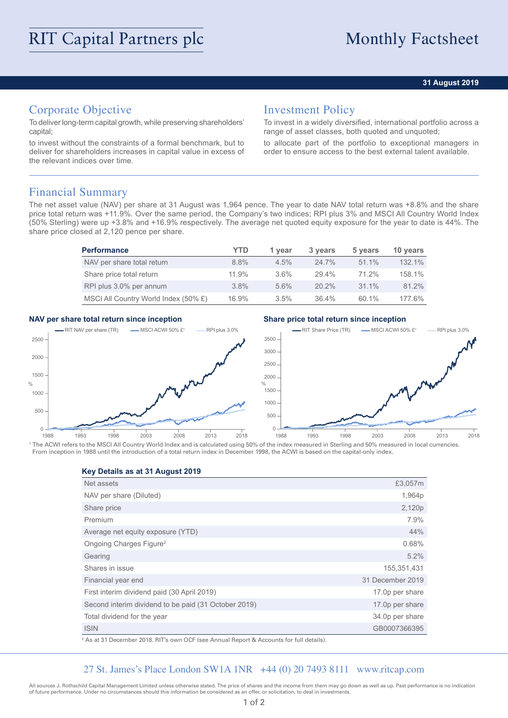### **31 August 2019**

# Corporate Objective

To deliver long-term capital growth, while preserving shareholders' capital;

to invest without the constraints of a formal benchmark, but to deliver for shareholders increases in capital value in excess of the relevant indices over time.

## Investment Policy

To invest in a widely diversified, international portfolio across a range of asset classes, both quoted and unquoted;

to allocate part of the portfolio to exceptional managers in order to ensure access to the best external talent available.

## Financial Summary

The net asset value (NAV) per share at 31 August was 1,964 pence. The year to date NAV total return was +8.8% and the share price total return was +11.9%. Over the same period, the Company's two indices; RPI plus 3% and MSCI All Country World Index (50% Sterling) were up +3.8% and +16.9% respectively. The average net quoted equity exposure for the year to date is 44%. The share price closed at 2,120 pence per share.

| <b>Performance</b>                   | YTD     | 1 year  | 3 years  | 5 years  | 10 years  |
|--------------------------------------|---------|---------|----------|----------|-----------|
| NAV per share total return           | 8.8%    | $4.5\%$ | $24.7\%$ | $51.1\%$ | 132.1%    |
| Share price total return             | 11.9%   | $3.6\%$ | 29.4%    | 71.2%    | 158.1%    |
| RPI plus 3.0% per annum              | $3.8\%$ | 5.6%    | $20.2\%$ | $31.1\%$ | 81.2%     |
| MSCI All Country World Index (50% £) | 16.9%   | 3.5%    | $36.4\%$ | 60.1%    | $177.6\%$ |

### **NAV per share total return since inception Share price total return since inception**



<sup>1</sup> The ACWI refers to the MSCI All Country World Index and is calculated using 50% of the index measured in Sterling and 50% measured in local currencies. From inception in 1988 until the introduction of a total return index in December 1998, the ACWI is based on the capital-only index.

**Key Details as at 31 August 2019**

| Net assets                                           | £3,057m          |
|------------------------------------------------------|------------------|
| NAV per share (Diluted)                              | 1,964p           |
| Share price                                          | 2,120p           |
| Premium                                              | 7.9%             |
| Average net equity exposure (YTD)                    | 44%              |
| Ongoing Charges Figure <sup>2</sup>                  | 0.68%            |
| Gearing                                              | 5.2%             |
| Shares in issue                                      | 155,351,431      |
| Financial year end                                   | 31 December 2019 |
| First interim dividend paid (30 April 2019)          | 17.0p per share  |
| Second interim dividend to be paid (31 October 2019) | 17.0p per share  |
| Total dividend for the year                          | 34.0p per share  |
| <b>ISIN</b>                                          | GB0007366395     |

2 As at 31 December 2018. RIT's own OCF (see Annual Report & Accounts for full details).

### 27 St. James's Place London SW1A 1NR +44 (0) 20 7493 8111 www.ritcap.com

All sources J. Rothschild Capital Management Limited unless otherwise stated. The price of shares and the income from them may go down as well as up. Past performance is no indication of future performance. Under no circumstances should this information be considered as an offer, or solicitation, to deal in investments.